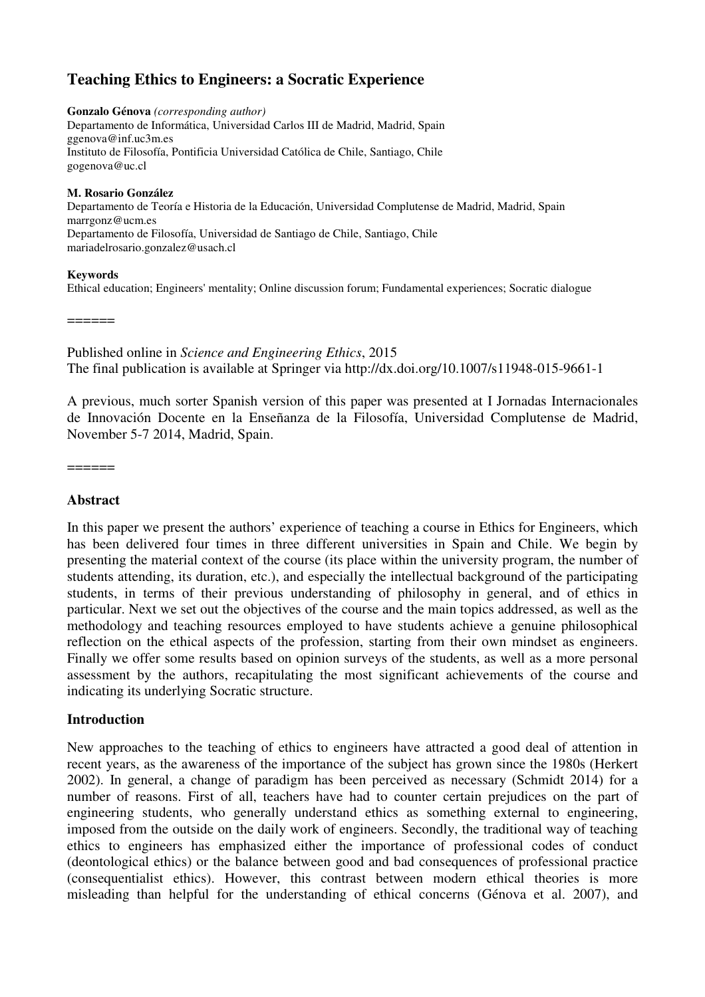# **Teaching Ethics to Engineers: a Socratic Experience**

**Gonzalo Génova** *(corresponding author)* Departamento de Informática, Universidad Carlos III de Madrid, Madrid, Spain ggenova@inf.uc3m.es Instituto de Filosofía, Pontificia Universidad Católica de Chile, Santiago, Chile gogenova@uc.cl

#### **M. Rosario González**

Departamento de Teoría e Historia de la Educación, Universidad Complutense de Madrid, Madrid, Spain marrgonz@ucm.es Departamento de Filosofía, Universidad de Santiago de Chile, Santiago, Chile mariadelrosario.gonzalez@usach.cl

#### **Keywords**

Ethical education; Engineers' mentality; Online discussion forum; Fundamental experiences; Socratic dialogue

======

Published online in *Science and Engineering Ethics*, 2015 The final publication is available at Springer via http://dx.doi.org/10.1007/s11948-015-9661-1

A previous, much sorter Spanish version of this paper was presented at I Jornadas Internacionales de Innovación Docente en la Enseñanza de la Filosofía, Universidad Complutense de Madrid, November 5-7 2014, Madrid, Spain.

======

### **Abstract**

In this paper we present the authors' experience of teaching a course in Ethics for Engineers, which has been delivered four times in three different universities in Spain and Chile. We begin by presenting the material context of the course (its place within the university program, the number of students attending, its duration, etc.), and especially the intellectual background of the participating students, in terms of their previous understanding of philosophy in general, and of ethics in particular. Next we set out the objectives of the course and the main topics addressed, as well as the methodology and teaching resources employed to have students achieve a genuine philosophical reflection on the ethical aspects of the profession, starting from their own mindset as engineers. Finally we offer some results based on opinion surveys of the students, as well as a more personal assessment by the authors, recapitulating the most significant achievements of the course and indicating its underlying Socratic structure.

### **Introduction**

New approaches to the teaching of ethics to engineers have attracted a good deal of attention in recent years, as the awareness of the importance of the subject has grown since the 1980s (Herkert 2002). In general, a change of paradigm has been perceived as necessary (Schmidt 2014) for a number of reasons. First of all, teachers have had to counter certain prejudices on the part of engineering students, who generally understand ethics as something external to engineering, imposed from the outside on the daily work of engineers. Secondly, the traditional way of teaching ethics to engineers has emphasized either the importance of professional codes of conduct (deontological ethics) or the balance between good and bad consequences of professional practice (consequentialist ethics). However, this contrast between modern ethical theories is more misleading than helpful for the understanding of ethical concerns (Génova et al. 2007), and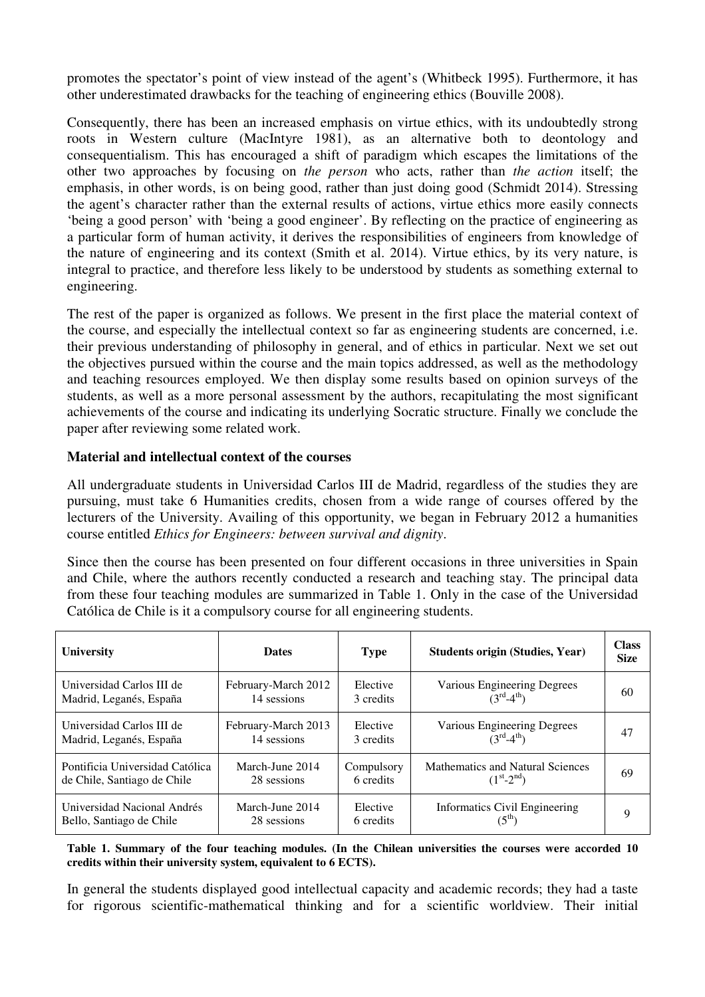promotes the spectator's point of view instead of the agent's (Whitbeck 1995). Furthermore, it has other underestimated drawbacks for the teaching of engineering ethics (Bouville 2008).

Consequently, there has been an increased emphasis on virtue ethics, with its undoubtedly strong roots in Western culture (MacIntyre 1981), as an alternative both to deontology and consequentialism. This has encouraged a shift of paradigm which escapes the limitations of the other two approaches by focusing on *the person* who acts, rather than *the action* itself; the emphasis, in other words, is on being good, rather than just doing good (Schmidt 2014). Stressing the agent's character rather than the external results of actions, virtue ethics more easily connects 'being a good person' with 'being a good engineer'. By reflecting on the practice of engineering as a particular form of human activity, it derives the responsibilities of engineers from knowledge of the nature of engineering and its context (Smith et al. 2014). Virtue ethics, by its very nature, is integral to practice, and therefore less likely to be understood by students as something external to engineering.

The rest of the paper is organized as follows. We present in the first place the material context of the course, and especially the intellectual context so far as engineering students are concerned, i.e. their previous understanding of philosophy in general, and of ethics in particular. Next we set out the objectives pursued within the course and the main topics addressed, as well as the methodology and teaching resources employed. We then display some results based on opinion surveys of the students, as well as a more personal assessment by the authors, recapitulating the most significant achievements of the course and indicating its underlying Socratic structure. Finally we conclude the paper after reviewing some related work.

# **Material and intellectual context of the courses**

All undergraduate students in Universidad Carlos III de Madrid, regardless of the studies they are pursuing, must take 6 Humanities credits, chosen from a wide range of courses offered by the lecturers of the University. Availing of this opportunity, we began in February 2012 a humanities course entitled *Ethics for Engineers: between survival and dignity*.

Since then the course has been presented on four different occasions in three universities in Spain and Chile, where the authors recently conducted a research and teaching stay. The principal data from these four teaching modules are summarized in Table 1. Only in the case of the Universidad Católica de Chile is it a compulsory course for all engineering students.

| <b>University</b>               | <b>Dates</b>        | <b>Type</b> | <b>Students origin (Studies, Year)</b> | <b>Class</b><br><b>Size</b> |
|---------------------------------|---------------------|-------------|----------------------------------------|-----------------------------|
| Universidad Carlos III de       | February-March 2012 | Elective    | Various Engineering Degrees            | 60                          |
| Madrid, Leganés, España         | 14 sessions         | 3 credits   | $(3rd-4th)$                            |                             |
| Universidad Carlos III de       | February-March 2013 | Elective    | Various Engineering Degrees            | 47                          |
| Madrid, Leganés, España         | 14 sessions         | 3 credits   | $(3rd-4th)$                            |                             |
| Pontificia Universidad Católica | March-June 2014     | Compulsory  | Mathematics and Natural Sciences       | 69                          |
| de Chile, Santiago de Chile     | 28 sessions         | 6 credits   | $(1^{st} - 2^{nd})$                    |                             |
| Universidad Nacional Andrés     | March-June 2014     | Elective    | Informatics Civil Engineering          | 9                           |
| Bello, Santiago de Chile        | 28 sessions         | 6 credits   | $(5^{\text{th}})$                      |                             |

**Table 1. Summary of the four teaching modules. (In the Chilean universities the courses were accorded 10 credits within their university system, equivalent to 6 ECTS).** 

In general the students displayed good intellectual capacity and academic records; they had a taste for rigorous scientific-mathematical thinking and for a scientific worldview. Their initial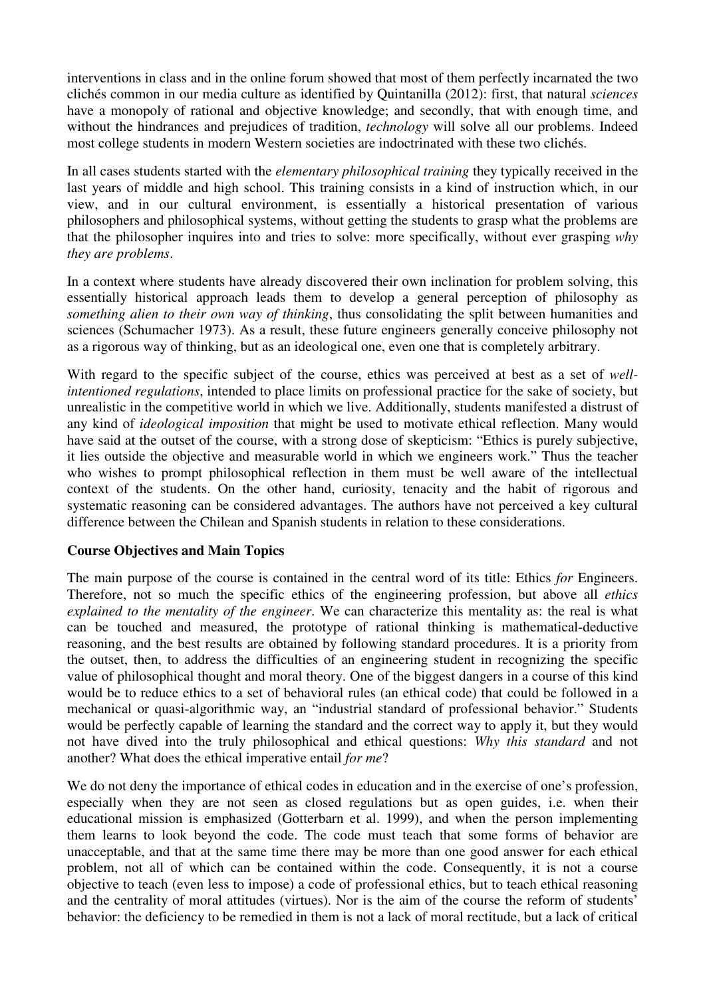interventions in class and in the online forum showed that most of them perfectly incarnated the two clichés common in our media culture as identified by Quintanilla (2012): first, that natural *sciences* have a monopoly of rational and objective knowledge; and secondly, that with enough time, and without the hindrances and prejudices of tradition, *technology* will solve all our problems. Indeed most college students in modern Western societies are indoctrinated with these two clichés.

In all cases students started with the *elementary philosophical training* they typically received in the last years of middle and high school. This training consists in a kind of instruction which, in our view, and in our cultural environment, is essentially a historical presentation of various philosophers and philosophical systems, without getting the students to grasp what the problems are that the philosopher inquires into and tries to solve: more specifically, without ever grasping *why they are problems*.

In a context where students have already discovered their own inclination for problem solving, this essentially historical approach leads them to develop a general perception of philosophy as *something alien to their own way of thinking*, thus consolidating the split between humanities and sciences (Schumacher 1973). As a result, these future engineers generally conceive philosophy not as a rigorous way of thinking, but as an ideological one, even one that is completely arbitrary.

With regard to the specific subject of the course, ethics was perceived at best as a set of *wellintentioned regulations*, intended to place limits on professional practice for the sake of society, but unrealistic in the competitive world in which we live. Additionally, students manifested a distrust of any kind of *ideological imposition* that might be used to motivate ethical reflection. Many would have said at the outset of the course, with a strong dose of skepticism: "Ethics is purely subjective, it lies outside the objective and measurable world in which we engineers work." Thus the teacher who wishes to prompt philosophical reflection in them must be well aware of the intellectual context of the students. On the other hand, curiosity, tenacity and the habit of rigorous and systematic reasoning can be considered advantages. The authors have not perceived a key cultural difference between the Chilean and Spanish students in relation to these considerations.

### **Course Objectives and Main Topics**

The main purpose of the course is contained in the central word of its title: Ethics *for* Engineers. Therefore, not so much the specific ethics of the engineering profession, but above all *ethics explained to the mentality of the engineer*. We can characterize this mentality as: the real is what can be touched and measured, the prototype of rational thinking is mathematical-deductive reasoning, and the best results are obtained by following standard procedures. It is a priority from the outset, then, to address the difficulties of an engineering student in recognizing the specific value of philosophical thought and moral theory. One of the biggest dangers in a course of this kind would be to reduce ethics to a set of behavioral rules (an ethical code) that could be followed in a mechanical or quasi-algorithmic way, an "industrial standard of professional behavior." Students would be perfectly capable of learning the standard and the correct way to apply it, but they would not have dived into the truly philosophical and ethical questions: *Why this standard* and not another? What does the ethical imperative entail *for me*?

We do not deny the importance of ethical codes in education and in the exercise of one's profession, especially when they are not seen as closed regulations but as open guides, i.e. when their educational mission is emphasized (Gotterbarn et al. 1999), and when the person implementing them learns to look beyond the code. The code must teach that some forms of behavior are unacceptable, and that at the same time there may be more than one good answer for each ethical problem, not all of which can be contained within the code. Consequently, it is not a course objective to teach (even less to impose) a code of professional ethics, but to teach ethical reasoning and the centrality of moral attitudes (virtues). Nor is the aim of the course the reform of students' behavior: the deficiency to be remedied in them is not a lack of moral rectitude, but a lack of critical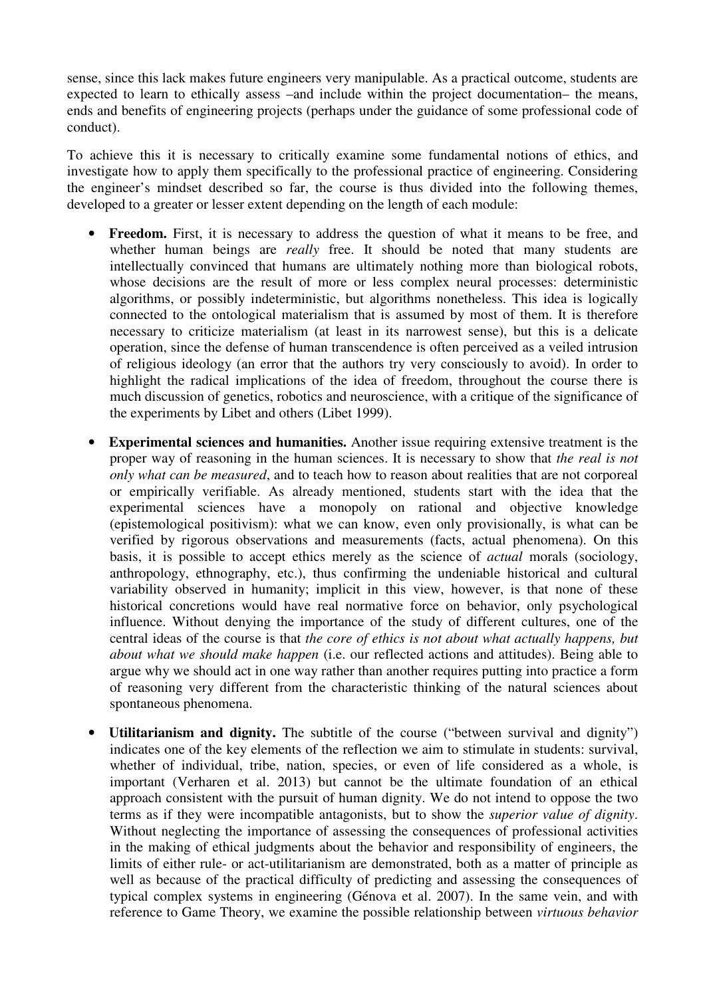sense, since this lack makes future engineers very manipulable. As a practical outcome, students are expected to learn to ethically assess –and include within the project documentation– the means, ends and benefits of engineering projects (perhaps under the guidance of some professional code of conduct).

To achieve this it is necessary to critically examine some fundamental notions of ethics, and investigate how to apply them specifically to the professional practice of engineering. Considering the engineer's mindset described so far, the course is thus divided into the following themes, developed to a greater or lesser extent depending on the length of each module:

- **Freedom.** First, it is necessary to address the question of what it means to be free, and whether human beings are *really* free. It should be noted that many students are intellectually convinced that humans are ultimately nothing more than biological robots, whose decisions are the result of more or less complex neural processes: deterministic algorithms, or possibly indeterministic, but algorithms nonetheless. This idea is logically connected to the ontological materialism that is assumed by most of them. It is therefore necessary to criticize materialism (at least in its narrowest sense), but this is a delicate operation, since the defense of human transcendence is often perceived as a veiled intrusion of religious ideology (an error that the authors try very consciously to avoid). In order to highlight the radical implications of the idea of freedom, throughout the course there is much discussion of genetics, robotics and neuroscience, with a critique of the significance of the experiments by Libet and others (Libet 1999).
- **Experimental sciences and humanities.** Another issue requiring extensive treatment is the proper way of reasoning in the human sciences. It is necessary to show that *the real is not only what can be measured*, and to teach how to reason about realities that are not corporeal or empirically verifiable. As already mentioned, students start with the idea that the experimental sciences have a monopoly on rational and objective knowledge (epistemological positivism): what we can know, even only provisionally, is what can be verified by rigorous observations and measurements (facts, actual phenomena). On this basis, it is possible to accept ethics merely as the science of *actual* morals (sociology, anthropology, ethnography, etc.), thus confirming the undeniable historical and cultural variability observed in humanity; implicit in this view, however, is that none of these historical concretions would have real normative force on behavior, only psychological influence. Without denying the importance of the study of different cultures, one of the central ideas of the course is that *the core of ethics is not about what actually happens, but about what we should make happen* (i.e. our reflected actions and attitudes). Being able to argue why we should act in one way rather than another requires putting into practice a form of reasoning very different from the characteristic thinking of the natural sciences about spontaneous phenomena.
- **Utilitarianism and dignity.** The subtitle of the course ("between survival and dignity") indicates one of the key elements of the reflection we aim to stimulate in students: survival, whether of individual, tribe, nation, species, or even of life considered as a whole, is important (Verharen et al. 2013) but cannot be the ultimate foundation of an ethical approach consistent with the pursuit of human dignity. We do not intend to oppose the two terms as if they were incompatible antagonists, but to show the *superior value of dignity*. Without neglecting the importance of assessing the consequences of professional activities in the making of ethical judgments about the behavior and responsibility of engineers, the limits of either rule- or act-utilitarianism are demonstrated, both as a matter of principle as well as because of the practical difficulty of predicting and assessing the consequences of typical complex systems in engineering (Génova et al. 2007). In the same vein, and with reference to Game Theory, we examine the possible relationship between *virtuous behavior*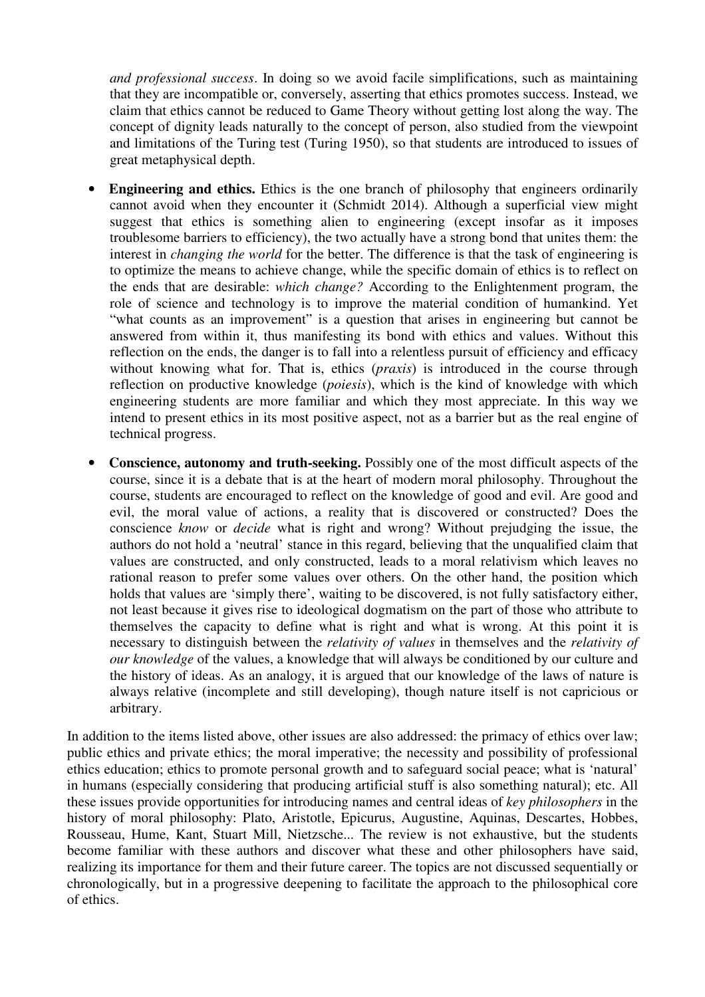*and professional success*. In doing so we avoid facile simplifications, such as maintaining that they are incompatible or, conversely, asserting that ethics promotes success. Instead, we claim that ethics cannot be reduced to Game Theory without getting lost along the way. The concept of dignity leads naturally to the concept of person, also studied from the viewpoint and limitations of the Turing test (Turing 1950), so that students are introduced to issues of great metaphysical depth.

- **Engineering and ethics.** Ethics is the one branch of philosophy that engineers ordinarily cannot avoid when they encounter it (Schmidt 2014). Although a superficial view might suggest that ethics is something alien to engineering (except insofar as it imposes troublesome barriers to efficiency), the two actually have a strong bond that unites them: the interest in *changing the world* for the better. The difference is that the task of engineering is to optimize the means to achieve change, while the specific domain of ethics is to reflect on the ends that are desirable: *which change?* According to the Enlightenment program, the role of science and technology is to improve the material condition of humankind. Yet "what counts as an improvement" is a question that arises in engineering but cannot be answered from within it, thus manifesting its bond with ethics and values. Without this reflection on the ends, the danger is to fall into a relentless pursuit of efficiency and efficacy without knowing what for. That is, ethics (*praxis*) is introduced in the course through reflection on productive knowledge (*poiesis*), which is the kind of knowledge with which engineering students are more familiar and which they most appreciate. In this way we intend to present ethics in its most positive aspect, not as a barrier but as the real engine of technical progress.
- **Conscience, autonomy and truth-seeking.** Possibly one of the most difficult aspects of the course, since it is a debate that is at the heart of modern moral philosophy. Throughout the course, students are encouraged to reflect on the knowledge of good and evil. Are good and evil, the moral value of actions, a reality that is discovered or constructed? Does the conscience *know* or *decide* what is right and wrong? Without prejudging the issue, the authors do not hold a 'neutral' stance in this regard, believing that the unqualified claim that values are constructed, and only constructed, leads to a moral relativism which leaves no rational reason to prefer some values over others. On the other hand, the position which holds that values are 'simply there', waiting to be discovered, is not fully satisfactory either, not least because it gives rise to ideological dogmatism on the part of those who attribute to themselves the capacity to define what is right and what is wrong. At this point it is necessary to distinguish between the *relativity of values* in themselves and the *relativity of our knowledge* of the values, a knowledge that will always be conditioned by our culture and the history of ideas. As an analogy, it is argued that our knowledge of the laws of nature is always relative (incomplete and still developing), though nature itself is not capricious or arbitrary.

In addition to the items listed above, other issues are also addressed: the primacy of ethics over law; public ethics and private ethics; the moral imperative; the necessity and possibility of professional ethics education; ethics to promote personal growth and to safeguard social peace; what is 'natural' in humans (especially considering that producing artificial stuff is also something natural); etc. All these issues provide opportunities for introducing names and central ideas of *key philosophers* in the history of moral philosophy: Plato, Aristotle, Epicurus, Augustine, Aquinas, Descartes, Hobbes, Rousseau, Hume, Kant, Stuart Mill, Nietzsche... The review is not exhaustive, but the students become familiar with these authors and discover what these and other philosophers have said, realizing its importance for them and their future career. The topics are not discussed sequentially or chronologically, but in a progressive deepening to facilitate the approach to the philosophical core of ethics.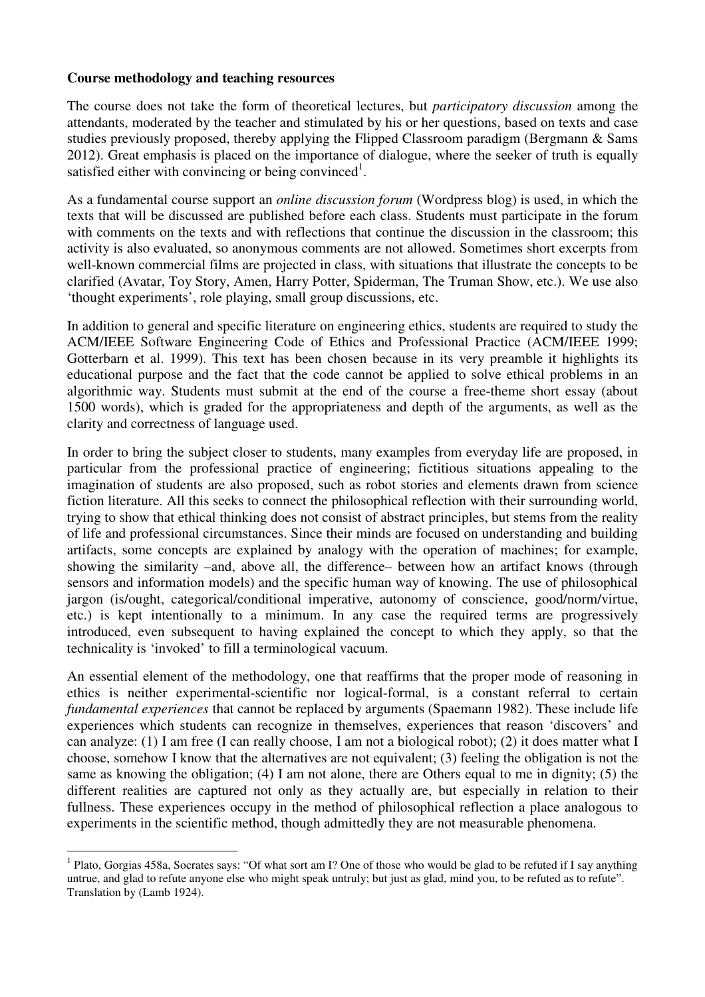# **Course methodology and teaching resources**

 $\overline{a}$ 

The course does not take the form of theoretical lectures, but *participatory discussion* among the attendants, moderated by the teacher and stimulated by his or her questions, based on texts and case studies previously proposed, thereby applying the Flipped Classroom paradigm (Bergmann & Sams 2012). Great emphasis is placed on the importance of dialogue, where the seeker of truth is equally satisfied either with convincing or being convinced<sup>1</sup>.

As a fundamental course support an *online discussion forum* (Wordpress blog) is used, in which the texts that will be discussed are published before each class. Students must participate in the forum with comments on the texts and with reflections that continue the discussion in the classroom; this activity is also evaluated, so anonymous comments are not allowed. Sometimes short excerpts from well-known commercial films are projected in class, with situations that illustrate the concepts to be clarified (Avatar, Toy Story, Amen, Harry Potter, Spiderman, The Truman Show, etc.). We use also 'thought experiments', role playing, small group discussions, etc.

In addition to general and specific literature on engineering ethics, students are required to study the ACM/IEEE Software Engineering Code of Ethics and Professional Practice (ACM/IEEE 1999; Gotterbarn et al. 1999). This text has been chosen because in its very preamble it highlights its educational purpose and the fact that the code cannot be applied to solve ethical problems in an algorithmic way. Students must submit at the end of the course a free-theme short essay (about 1500 words), which is graded for the appropriateness and depth of the arguments, as well as the clarity and correctness of language used.

In order to bring the subject closer to students, many examples from everyday life are proposed, in particular from the professional practice of engineering; fictitious situations appealing to the imagination of students are also proposed, such as robot stories and elements drawn from science fiction literature. All this seeks to connect the philosophical reflection with their surrounding world, trying to show that ethical thinking does not consist of abstract principles, but stems from the reality of life and professional circumstances. Since their minds are focused on understanding and building artifacts, some concepts are explained by analogy with the operation of machines; for example, showing the similarity –and, above all, the difference– between how an artifact knows (through sensors and information models) and the specific human way of knowing. The use of philosophical jargon (is/ought, categorical/conditional imperative, autonomy of conscience, good/norm/virtue, etc.) is kept intentionally to a minimum. In any case the required terms are progressively introduced, even subsequent to having explained the concept to which they apply, so that the technicality is 'invoked' to fill a terminological vacuum.

An essential element of the methodology, one that reaffirms that the proper mode of reasoning in ethics is neither experimental-scientific nor logical-formal, is a constant referral to certain *fundamental experiences* that cannot be replaced by arguments (Spaemann 1982). These include life experiences which students can recognize in themselves, experiences that reason 'discovers' and can analyze: (1) I am free (I can really choose, I am not a biological robot); (2) it does matter what I choose, somehow I know that the alternatives are not equivalent; (3) feeling the obligation is not the same as knowing the obligation; (4) I am not alone, there are Others equal to me in dignity; (5) the different realities are captured not only as they actually are, but especially in relation to their fullness. These experiences occupy in the method of philosophical reflection a place analogous to experiments in the scientific method, though admittedly they are not measurable phenomena.

<sup>1</sup> Plato, Gorgias 458a, Socrates says: "Of what sort am I? One of those who would be glad to be refuted if I say anything untrue, and glad to refute anyone else who might speak untruly; but just as glad, mind you, to be refuted as to refute". Translation by (Lamb 1924).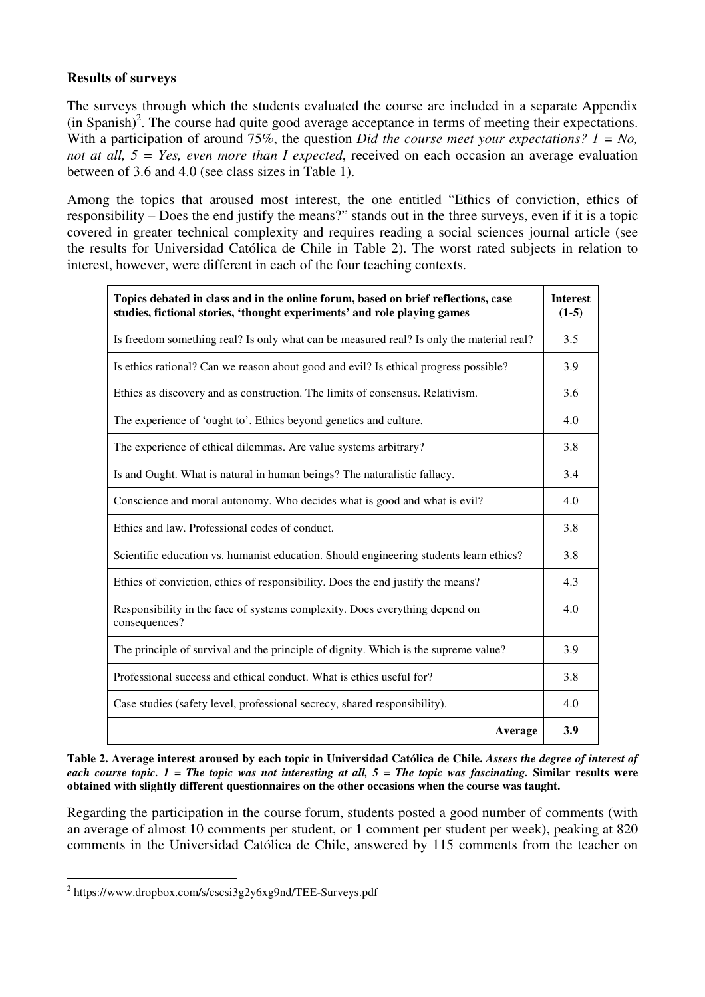# **Results of surveys**

The surveys through which the students evaluated the course are included in a separate Appendix  $(in$  Spanish)<sup>2</sup>. The course had quite good average acceptance in terms of meeting their expectations. With a participation of around 75%, the question *Did the course meet your expectations?*  $1 = No$ . *not at all, 5 = Yes, even more than I expected*, received on each occasion an average evaluation between of 3.6 and 4.0 (see class sizes in Table 1).

Among the topics that aroused most interest, the one entitled "Ethics of conviction, ethics of responsibility – Does the end justify the means?" stands out in the three surveys, even if it is a topic covered in greater technical complexity and requires reading a social sciences journal article (see the results for Universidad Católica de Chile in Table 2). The worst rated subjects in relation to interest, however, were different in each of the four teaching contexts.

| Topics debated in class and in the online forum, based on brief reflections, case<br>studies, fictional stories, 'thought experiments' and role playing games |     |  |  |
|---------------------------------------------------------------------------------------------------------------------------------------------------------------|-----|--|--|
| Is freedom something real? Is only what can be measured real? Is only the material real?                                                                      |     |  |  |
| Is ethics rational? Can we reason about good and evil? Is ethical progress possible?                                                                          |     |  |  |
| Ethics as discovery and as construction. The limits of consensus. Relativism.                                                                                 |     |  |  |
| The experience of 'ought to'. Ethics beyond genetics and culture.                                                                                             |     |  |  |
| The experience of ethical dilemmas. Are value systems arbitrary?                                                                                              |     |  |  |
| Is and Ought. What is natural in human beings? The naturalistic fallacy.                                                                                      |     |  |  |
| Conscience and moral autonomy. Who decides what is good and what is evil?                                                                                     |     |  |  |
| Ethics and law. Professional codes of conduct.                                                                                                                |     |  |  |
| Scientific education vs. humanist education. Should engineering students learn ethics?                                                                        |     |  |  |
| Ethics of conviction, ethics of responsibility. Does the end justify the means?                                                                               |     |  |  |
| Responsibility in the face of systems complexity. Does everything depend on<br>consequences?                                                                  |     |  |  |
| The principle of survival and the principle of dignity. Which is the supreme value?                                                                           |     |  |  |
| Professional success and ethical conduct. What is ethics useful for?                                                                                          |     |  |  |
| Case studies (safety level, professional secrecy, shared responsibility).                                                                                     |     |  |  |
| Average                                                                                                                                                       | 3.9 |  |  |

**Table 2. Average interest aroused by each topic in Universidad Católica de Chile.** *Assess the degree of interest of each course topic. 1 = The topic was not interesting at all, 5 = The topic was fascinating.* **Similar results were obtained with slightly different questionnaires on the other occasions when the course was taught.** 

Regarding the participation in the course forum, students posted a good number of comments (with an average of almost 10 comments per student, or 1 comment per student per week), peaking at 820 comments in the Universidad Católica de Chile, answered by 115 comments from the teacher on

 2 https://www.dropbox.com/s/cscsi3g2y6xg9nd/TEE-Surveys.pdf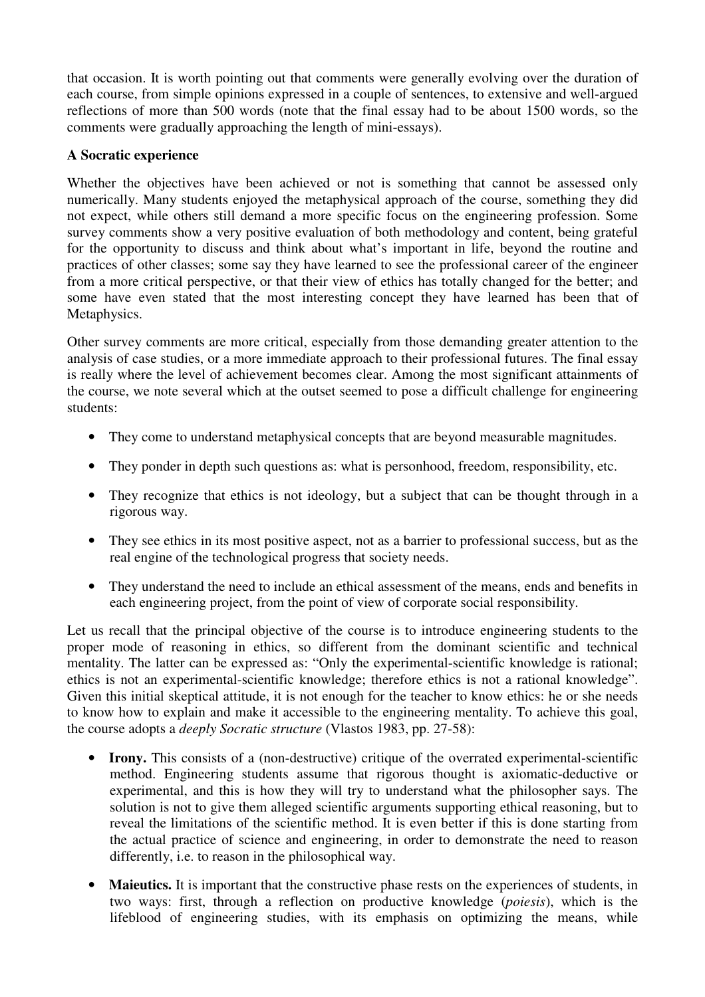that occasion. It is worth pointing out that comments were generally evolving over the duration of each course, from simple opinions expressed in a couple of sentences, to extensive and well-argued reflections of more than 500 words (note that the final essay had to be about 1500 words, so the comments were gradually approaching the length of mini-essays).

# **A Socratic experience**

Whether the objectives have been achieved or not is something that cannot be assessed only numerically. Many students enjoyed the metaphysical approach of the course, something they did not expect, while others still demand a more specific focus on the engineering profession. Some survey comments show a very positive evaluation of both methodology and content, being grateful for the opportunity to discuss and think about what's important in life, beyond the routine and practices of other classes; some say they have learned to see the professional career of the engineer from a more critical perspective, or that their view of ethics has totally changed for the better; and some have even stated that the most interesting concept they have learned has been that of Metaphysics.

Other survey comments are more critical, especially from those demanding greater attention to the analysis of case studies, or a more immediate approach to their professional futures. The final essay is really where the level of achievement becomes clear. Among the most significant attainments of the course, we note several which at the outset seemed to pose a difficult challenge for engineering students:

- They come to understand metaphysical concepts that are beyond measurable magnitudes.
- They ponder in depth such questions as: what is personhood, freedom, responsibility, etc.
- They recognize that ethics is not ideology, but a subject that can be thought through in a rigorous way.
- They see ethics in its most positive aspect, not as a barrier to professional success, but as the real engine of the technological progress that society needs.
- They understand the need to include an ethical assessment of the means, ends and benefits in each engineering project, from the point of view of corporate social responsibility.

Let us recall that the principal objective of the course is to introduce engineering students to the proper mode of reasoning in ethics, so different from the dominant scientific and technical mentality. The latter can be expressed as: "Only the experimental-scientific knowledge is rational; ethics is not an experimental-scientific knowledge; therefore ethics is not a rational knowledge". Given this initial skeptical attitude, it is not enough for the teacher to know ethics: he or she needs to know how to explain and make it accessible to the engineering mentality. To achieve this goal, the course adopts a *deeply Socratic structure* (Vlastos 1983, pp. 27-58):

- **Irony.** This consists of a (non-destructive) critique of the overrated experimental-scientific method. Engineering students assume that rigorous thought is axiomatic-deductive or experimental, and this is how they will try to understand what the philosopher says. The solution is not to give them alleged scientific arguments supporting ethical reasoning, but to reveal the limitations of the scientific method. It is even better if this is done starting from the actual practice of science and engineering, in order to demonstrate the need to reason differently, i.e. to reason in the philosophical way.
- **Maieutics.** It is important that the constructive phase rests on the experiences of students, in two ways: first, through a reflection on productive knowledge (*poiesis*), which is the lifeblood of engineering studies, with its emphasis on optimizing the means, while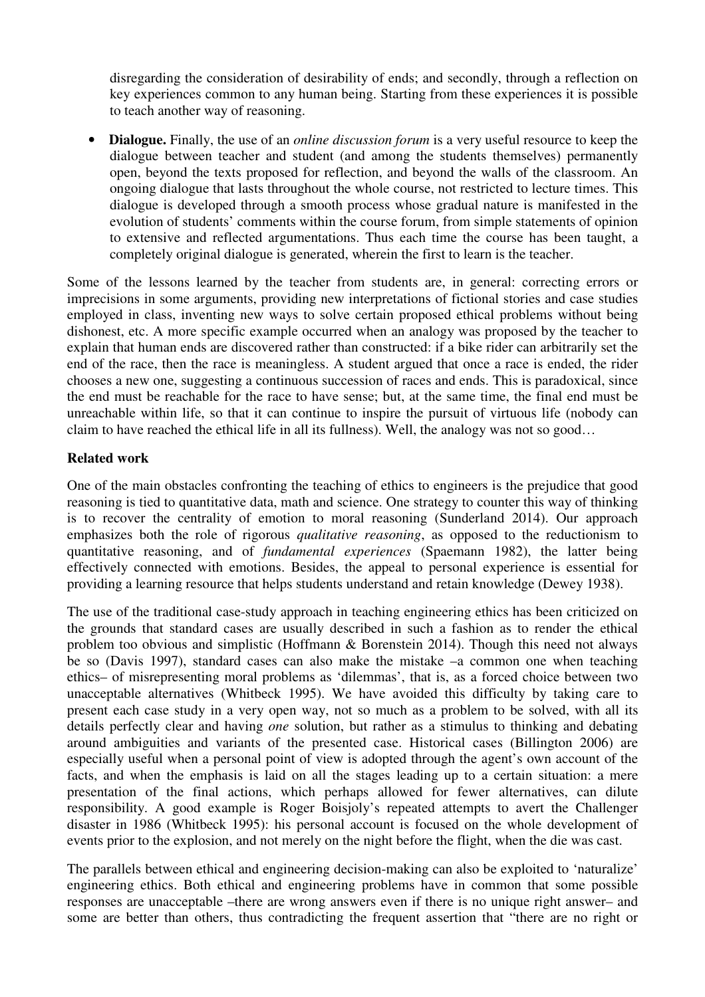disregarding the consideration of desirability of ends; and secondly, through a reflection on key experiences common to any human being. Starting from these experiences it is possible to teach another way of reasoning.

• **Dialogue.** Finally, the use of an *online discussion forum* is a very useful resource to keep the dialogue between teacher and student (and among the students themselves) permanently open, beyond the texts proposed for reflection, and beyond the walls of the classroom. An ongoing dialogue that lasts throughout the whole course, not restricted to lecture times. This dialogue is developed through a smooth process whose gradual nature is manifested in the evolution of students' comments within the course forum, from simple statements of opinion to extensive and reflected argumentations. Thus each time the course has been taught, a completely original dialogue is generated, wherein the first to learn is the teacher.

Some of the lessons learned by the teacher from students are, in general: correcting errors or imprecisions in some arguments, providing new interpretations of fictional stories and case studies employed in class, inventing new ways to solve certain proposed ethical problems without being dishonest, etc. A more specific example occurred when an analogy was proposed by the teacher to explain that human ends are discovered rather than constructed: if a bike rider can arbitrarily set the end of the race, then the race is meaningless. A student argued that once a race is ended, the rider chooses a new one, suggesting a continuous succession of races and ends. This is paradoxical, since the end must be reachable for the race to have sense; but, at the same time, the final end must be unreachable within life, so that it can continue to inspire the pursuit of virtuous life (nobody can claim to have reached the ethical life in all its fullness). Well, the analogy was not so good…

### **Related work**

One of the main obstacles confronting the teaching of ethics to engineers is the prejudice that good reasoning is tied to quantitative data, math and science. One strategy to counter this way of thinking is to recover the centrality of emotion to moral reasoning (Sunderland 2014). Our approach emphasizes both the role of rigorous *qualitative reasoning*, as opposed to the reductionism to quantitative reasoning, and of *fundamental experiences* (Spaemann 1982), the latter being effectively connected with emotions. Besides, the appeal to personal experience is essential for providing a learning resource that helps students understand and retain knowledge (Dewey 1938).

The use of the traditional case-study approach in teaching engineering ethics has been criticized on the grounds that standard cases are usually described in such a fashion as to render the ethical problem too obvious and simplistic (Hoffmann & Borenstein 2014). Though this need not always be so (Davis 1997), standard cases can also make the mistake –a common one when teaching ethics– of misrepresenting moral problems as 'dilemmas', that is, as a forced choice between two unacceptable alternatives (Whitbeck 1995). We have avoided this difficulty by taking care to present each case study in a very open way, not so much as a problem to be solved, with all its details perfectly clear and having *one* solution, but rather as a stimulus to thinking and debating around ambiguities and variants of the presented case. Historical cases (Billington 2006) are especially useful when a personal point of view is adopted through the agent's own account of the facts, and when the emphasis is laid on all the stages leading up to a certain situation: a mere presentation of the final actions, which perhaps allowed for fewer alternatives, can dilute responsibility. A good example is Roger Boisjoly's repeated attempts to avert the Challenger disaster in 1986 (Whitbeck 1995): his personal account is focused on the whole development of events prior to the explosion, and not merely on the night before the flight, when the die was cast.

The parallels between ethical and engineering decision-making can also be exploited to 'naturalize' engineering ethics. Both ethical and engineering problems have in common that some possible responses are unacceptable –there are wrong answers even if there is no unique right answer– and some are better than others, thus contradicting the frequent assertion that "there are no right or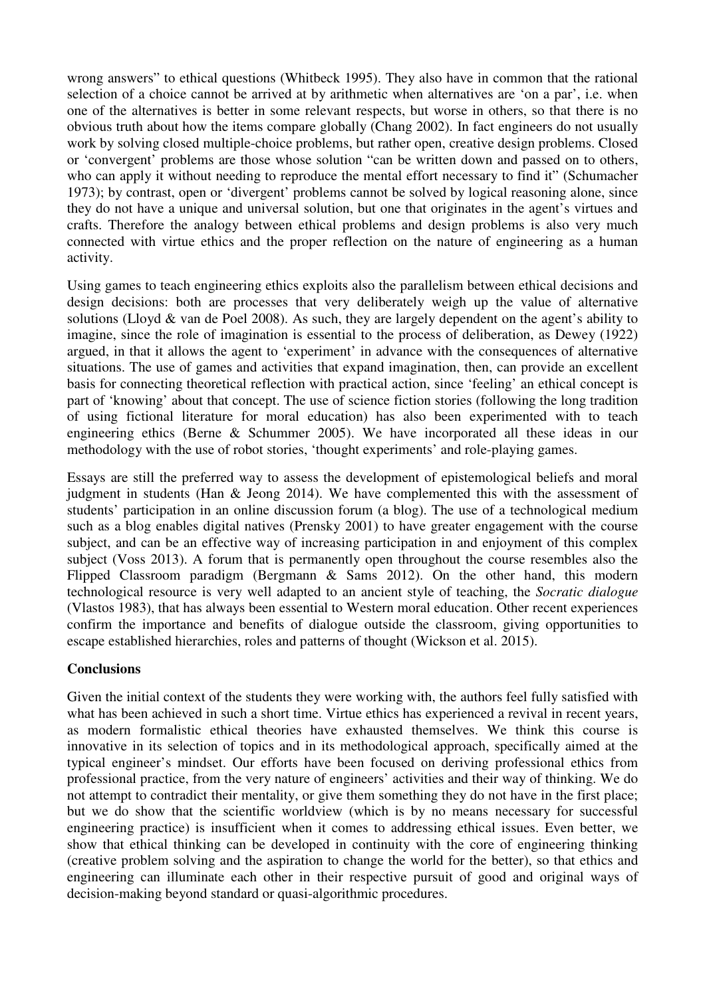wrong answers" to ethical questions (Whitbeck 1995). They also have in common that the rational selection of a choice cannot be arrived at by arithmetic when alternatives are 'on a par', i.e. when one of the alternatives is better in some relevant respects, but worse in others, so that there is no obvious truth about how the items compare globally (Chang 2002). In fact engineers do not usually work by solving closed multiple-choice problems, but rather open, creative design problems. Closed or 'convergent' problems are those whose solution "can be written down and passed on to others, who can apply it without needing to reproduce the mental effort necessary to find it" (Schumacher 1973); by contrast, open or 'divergent' problems cannot be solved by logical reasoning alone, since they do not have a unique and universal solution, but one that originates in the agent's virtues and crafts. Therefore the analogy between ethical problems and design problems is also very much connected with virtue ethics and the proper reflection on the nature of engineering as a human activity.

Using games to teach engineering ethics exploits also the parallelism between ethical decisions and design decisions: both are processes that very deliberately weigh up the value of alternative solutions (Lloyd & van de Poel 2008). As such, they are largely dependent on the agent's ability to imagine, since the role of imagination is essential to the process of deliberation, as Dewey (1922) argued, in that it allows the agent to 'experiment' in advance with the consequences of alternative situations. The use of games and activities that expand imagination, then, can provide an excellent basis for connecting theoretical reflection with practical action, since 'feeling' an ethical concept is part of 'knowing' about that concept. The use of science fiction stories (following the long tradition of using fictional literature for moral education) has also been experimented with to teach engineering ethics (Berne & Schummer 2005). We have incorporated all these ideas in our methodology with the use of robot stories, 'thought experiments' and role-playing games.

Essays are still the preferred way to assess the development of epistemological beliefs and moral judgment in students (Han & Jeong 2014). We have complemented this with the assessment of students' participation in an online discussion forum (a blog). The use of a technological medium such as a blog enables digital natives (Prensky 2001) to have greater engagement with the course subject, and can be an effective way of increasing participation in and enjoyment of this complex subject (Voss 2013). A forum that is permanently open throughout the course resembles also the Flipped Classroom paradigm (Bergmann & Sams 2012). On the other hand, this modern technological resource is very well adapted to an ancient style of teaching, the *Socratic dialogue*  (Vlastos 1983), that has always been essential to Western moral education. Other recent experiences confirm the importance and benefits of dialogue outside the classroom, giving opportunities to escape established hierarchies, roles and patterns of thought (Wickson et al. 2015).

### **Conclusions**

Given the initial context of the students they were working with, the authors feel fully satisfied with what has been achieved in such a short time. Virtue ethics has experienced a revival in recent years, as modern formalistic ethical theories have exhausted themselves. We think this course is innovative in its selection of topics and in its methodological approach, specifically aimed at the typical engineer's mindset. Our efforts have been focused on deriving professional ethics from professional practice, from the very nature of engineers' activities and their way of thinking. We do not attempt to contradict their mentality, or give them something they do not have in the first place; but we do show that the scientific worldview (which is by no means necessary for successful engineering practice) is insufficient when it comes to addressing ethical issues. Even better, we show that ethical thinking can be developed in continuity with the core of engineering thinking (creative problem solving and the aspiration to change the world for the better), so that ethics and engineering can illuminate each other in their respective pursuit of good and original ways of decision-making beyond standard or quasi-algorithmic procedures.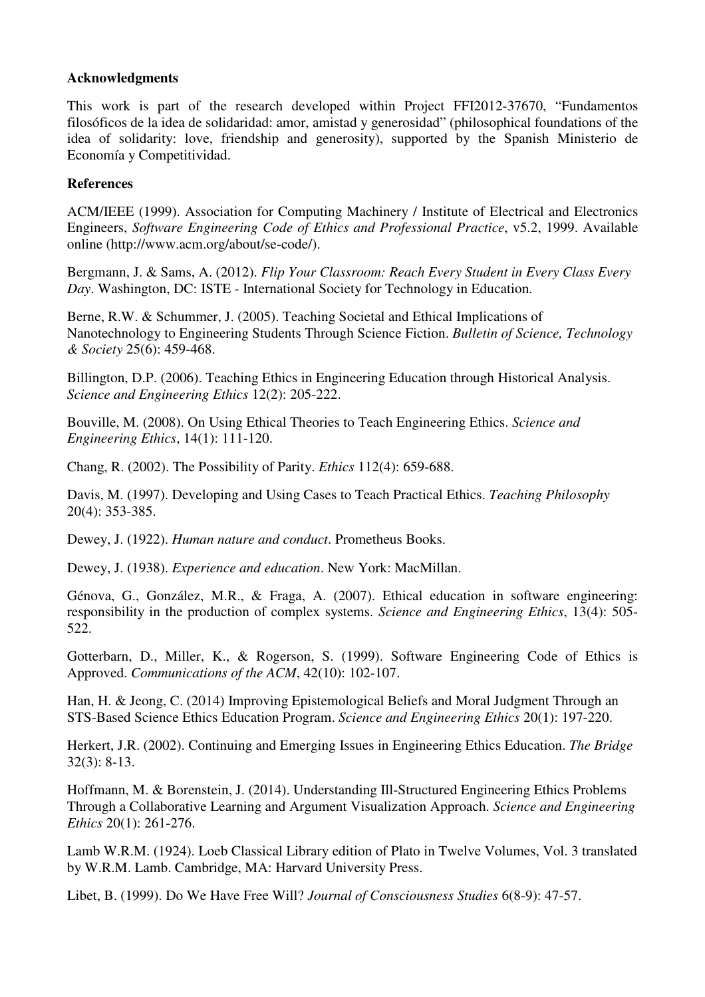# **Acknowledgments**

This work is part of the research developed within Project FFI2012-37670, "Fundamentos filosóficos de la idea de solidaridad: amor, amistad y generosidad" (philosophical foundations of the idea of solidarity: love, friendship and generosity), supported by the Spanish Ministerio de Economía y Competitividad.

# **References**

ACM/IEEE (1999). Association for Computing Machinery / Institute of Electrical and Electronics Engineers, *Software Engineering Code of Ethics and Professional Practice*, v5.2, 1999. Available online (http://www.acm.org/about/se-code/).

Bergmann, J. & Sams, A. (2012). *Flip Your Classroom: Reach Every Student in Every Class Every Day*. Washington, DC: ISTE - International Society for Technology in Education.

Berne, R.W. & Schummer, J. (2005). Teaching Societal and Ethical Implications of Nanotechnology to Engineering Students Through Science Fiction. *Bulletin of Science, Technology & Society* 25(6): 459-468.

Billington, D.P. (2006). Teaching Ethics in Engineering Education through Historical Analysis. *Science and Engineering Ethics* 12(2): 205-222.

Bouville, M. (2008). On Using Ethical Theories to Teach Engineering Ethics. *Science and Engineering Ethics*, 14(1): 111-120.

Chang, R. (2002). The Possibility of Parity. *Ethics* 112(4): 659-688.

Davis, M. (1997). Developing and Using Cases to Teach Practical Ethics. *Teaching Philosophy* 20(4): 353-385.

Dewey, J. (1922). *Human nature and conduct*. Prometheus Books.

Dewey, J. (1938). *Experience and education*. New York: MacMillan.

Génova, G., González, M.R., & Fraga, A. (2007). Ethical education in software engineering: responsibility in the production of complex systems. *Science and Engineering Ethics*, 13(4): 505- 522.

Gotterbarn, D., Miller, K., & Rogerson, S. (1999). Software Engineering Code of Ethics is Approved. *Communications of the ACM*, 42(10): 102-107.

Han, H. & Jeong, C. (2014) Improving Epistemological Beliefs and Moral Judgment Through an STS-Based Science Ethics Education Program. *Science and Engineering Ethics* 20(1): 197-220.

Herkert, J.R. (2002). Continuing and Emerging Issues in Engineering Ethics Education. *The Bridge* 32(3): 8-13.

Hoffmann, M. & Borenstein, J. (2014). Understanding Ill-Structured Engineering Ethics Problems Through a Collaborative Learning and Argument Visualization Approach. *Science and Engineering Ethics* 20(1): 261-276.

Lamb W.R.M. (1924). Loeb Classical Library edition of Plato in Twelve Volumes, Vol. 3 translated by W.R.M. Lamb. Cambridge, MA: Harvard University Press.

Libet, B. (1999). Do We Have Free Will? *Journal of Consciousness Studies* 6(8-9): 47-57.